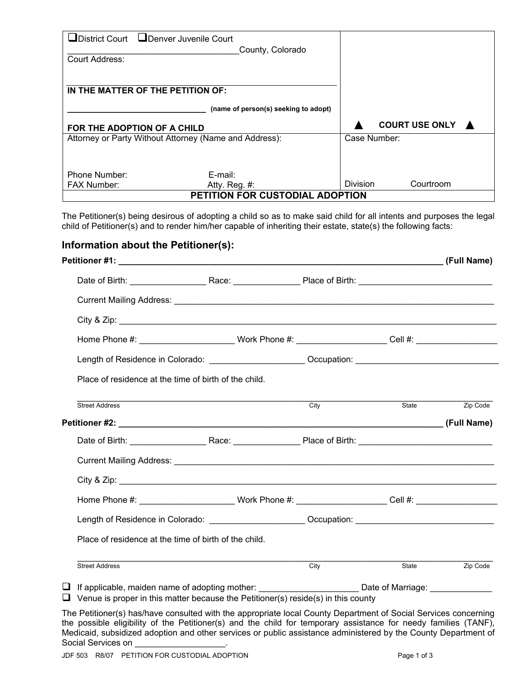|                                 | □District Court □Denver Juvenile Court                 |                 |                       |  |
|---------------------------------|--------------------------------------------------------|-----------------|-----------------------|--|
|                                 | County, Colorado                                       |                 |                       |  |
| <b>Court Address:</b>           |                                                        |                 |                       |  |
|                                 |                                                        |                 |                       |  |
|                                 |                                                        |                 |                       |  |
|                                 | IN THE MATTER OF THE PETITION OF:                      |                 |                       |  |
|                                 |                                                        |                 |                       |  |
|                                 | (name of person(s) seeking to adopt)                   |                 |                       |  |
|                                 | FOR THE ADOPTION OF A CHILD                            |                 | <b>COURT USE ONLY</b> |  |
|                                 | Attorney or Party Without Attorney (Name and Address): | Case Number:    |                       |  |
|                                 |                                                        |                 |                       |  |
|                                 |                                                        |                 |                       |  |
| Phone Number:                   | E-mail:                                                |                 |                       |  |
| <b>FAX Number:</b>              | Atty. Reg. #:                                          | <b>Division</b> | Courtroom             |  |
| PETITION FOR CUSTODIAL ADOPTION |                                                        |                 |                       |  |

The Petitioner(s) being desirous of adopting a child so as to make said child for all intents and purposes the legal child of Petitioner(s) and to render him/her capable of inheriting their estate, state(s) the following facts:

## **Information about the Petitioner(s):**

| Home Phone #: __________________________Work Phone #: _______________________Cell #: ____________________                                                                                                  |      |                       |
|------------------------------------------------------------------------------------------------------------------------------------------------------------------------------------------------------------|------|-----------------------|
| Length of Residence in Colorado: ________________________Occupation: _______________________________                                                                                                       |      |                       |
| Place of residence at the time of birth of the child.                                                                                                                                                      |      |                       |
| <b>Street Address</b>                                                                                                                                                                                      | City | State <b>Zip Code</b> |
|                                                                                                                                                                                                            |      |                       |
|                                                                                                                                                                                                            |      |                       |
|                                                                                                                                                                                                            |      |                       |
|                                                                                                                                                                                                            |      |                       |
| Home Phone #: _________________________Work Phone #: ______________________Cell #: ______________________                                                                                                  |      |                       |
| Length of Residence in Colorado: _____________________Occupation: __________________________________                                                                                                       |      |                       |
| Place of residence at the time of birth of the child.                                                                                                                                                      |      |                       |
| <b>Street Address</b>                                                                                                                                                                                      | City | State <b>Zip Code</b> |
| □ If applicable, maiden name of adopting mother: ___________________________Date of Marriage: ________________<br>$\Box$ Venue is proper in this matter because the Petitioner(s) reside(s) in this county |      |                       |

The Petitioner(s) has/have consulted with the appropriate local County Department of Social Services concerning the possible eligibility of the Petitioner(s) and the child for temporary assistance for needy families (TANF), Medicaid, subsidized adoption and other services or public assistance administered by the County Department of Social Services on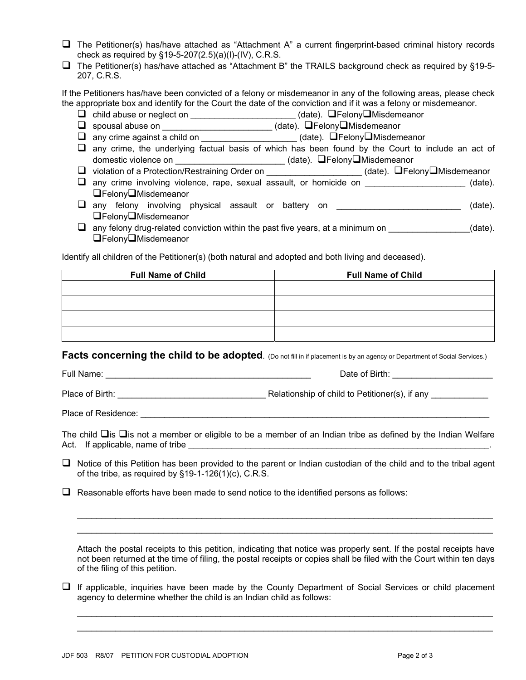- The Petitioner(s) has/have attached as "Attachment A" a current fingerprint-based criminal history records check as required by §19-5-207(2.5)(a)(I)-(IV), C.R.S.
- $\Box$  The Petitioner(s) has/have attached as "Attachment B" the TRAILS background check as required by §19-5-207, C.R.S.

If the Petitioners has/have been convicted of a felony or misdemeanor in any of the following areas, please check the appropriate box and identify for the Court the date of the conviction and if it was a felony or misdemeanor.

- □ child abuse or neglect on \_\_\_\_\_\_\_\_\_\_\_\_\_\_\_\_\_\_\_\_\_\_\_(date). □Felony□Misdemeanor
- □ spousal abuse on \_\_\_\_\_\_\_\_\_\_\_\_\_\_\_\_\_\_\_\_\_\_(date). □Felony□Misdemeanor
- $\Box$  any crime against a child on \_\_\_\_\_\_\_\_\_\_\_\_\_\_\_\_\_\_\_\_\_\_\_(date).  $\Box$  Felony $\Box$ Misdemeanor
- $\Box$  any crime, the underlying factual basis of which has been found by the Court to include an act of domestic violence on \_\_\_\_\_\_\_\_\_\_\_\_\_\_\_\_\_\_\_\_\_\_\_\_\_\_(date). QFelonyQMisdemeanor
- □ violation of a Protection/Restraining Order on \_\_\_\_\_\_\_\_\_\_\_\_\_\_\_\_\_\_\_\_\_\_(date). □Felony□Misdemeanor
- any crime involving violence, rape, sexual assault, or homicide on \_\_\_\_\_\_\_\_\_\_\_\_\_\_\_\_\_\_\_\_\_\_ (date). **□FelonyO**Misdemeanor
- $\Box$  any felony involving physical assault or battery on  $\Box$  any felony involving physical assault or battery on  $\Box$ Felony $\Box$ Misdemeanor
- $\Box$  any felony drug-related conviction within the past five years, at a minimum on  $\Box$ **□FelonyO**Misdemeanor

Identify all children of the Petitioner(s) (both natural and adopted and both living and deceased).

| <b>Full Name of Child</b> | <b>Full Name of Child</b> |  |
|---------------------------|---------------------------|--|
|                           |                           |  |
|                           |                           |  |
|                           |                           |  |
|                           |                           |  |

**Facts concerning the child to be adopted.** (Do not fill in if placement is by an agency or Department of Social Services.)

Full Name: \_\_\_\_\_\_\_\_\_\_\_\_\_\_\_\_\_\_\_\_\_\_\_\_\_\_\_\_\_\_\_\_\_\_\_\_\_\_\_\_\_\_\_ Date of Birth: \_\_\_\_\_\_\_\_\_\_\_\_\_\_\_\_\_\_\_\_\_

Place of Birth: <br>
Relationship of child to Petitioner(s), if any  $\blacksquare$ 

Place of Residence:  $\Box$ 

The child  $\Box$  is  $\Box$  is not a member or eligible to be a member of an Indian tribe as defined by the Indian Welfare Act. If applicable, name of tribe

 $\Box$  Notice of this Petition has been provided to the parent or Indian custodian of the child and to the tribal agent of the tribe, as required by §19-1-126(1)(c), C.R.S.

 $\Box$  Reasonable efforts have been made to send notice to the identified persons as follows:

Attach the postal receipts to this petition, indicating that notice was properly sent. If the postal receipts have not been returned at the time of filing, the postal receipts or copies shall be filed with the Court within ten days of the filing of this petition.

 $\_$  ,  $\_$  ,  $\_$  ,  $\_$  ,  $\_$  ,  $\_$  ,  $\_$  ,  $\_$  ,  $\_$  ,  $\_$  ,  $\_$  ,  $\_$  ,  $\_$  ,  $\_$  ,  $\_$  ,  $\_$  ,  $\_$  ,  $\_$  ,  $\_$  ,  $\_$  ,  $\_$  ,  $\_$  ,  $\_$  ,  $\_$  ,  $\_$  ,  $\_$  ,  $\_$  ,  $\_$  ,  $\_$  ,  $\_$  ,  $\_$  ,  $\_$  ,  $\_$  ,  $\_$  ,  $\_$  ,  $\_$  ,  $\_$  ,  $\_$  ,  $\_$  ,  $\_$  ,  $\_$  ,  $\_$  ,  $\_$  ,  $\_$  ,  $\_$  ,  $\_$  ,  $\_$  ,  $\_$  ,  $\_$  ,  $\_$  ,  $\_$  ,  $\_$  ,  $\_$  ,  $\_$  ,  $\_$  ,  $\_$  ,  $\_$  ,  $\_$  ,  $\_$  ,  $\_$  ,  $\_$  ,  $\_$  ,  $\_$  ,  $\_$  ,  $\_$  ,  $\_$  ,  $\_$  ,  $\_$  ,  $\_$  ,  $\_$  ,  $\_$  ,  $\_$  ,  $\_$  ,  $\_$  ,

 $\Box$  If applicable, inquiries have been made by the County Department of Social Services or child placement agency to determine whether the child is an Indian child as follows:

 $\mathcal{L}_\text{G} = \{ \mathcal{L}_\text{G} = \{ \mathcal{L}_\text{G} = \{ \mathcal{L}_\text{G} = \{ \mathcal{L}_\text{G} = \{ \mathcal{L}_\text{G} = \{ \mathcal{L}_\text{G} = \{ \mathcal{L}_\text{G} = \{ \mathcal{L}_\text{G} = \{ \mathcal{L}_\text{G} = \{ \mathcal{L}_\text{G} = \{ \mathcal{L}_\text{G} = \{ \mathcal{L}_\text{G} = \{ \mathcal{L}_\text{G} = \{ \mathcal{L}_\text{G} = \{ \mathcal{L}_\text{G$  $\mathcal{L}_\text{G} = \{ \mathcal{L}_\text{G} = \{ \mathcal{L}_\text{G} = \{ \mathcal{L}_\text{G} = \{ \mathcal{L}_\text{G} = \{ \mathcal{L}_\text{G} = \{ \mathcal{L}_\text{G} = \{ \mathcal{L}_\text{G} = \{ \mathcal{L}_\text{G} = \{ \mathcal{L}_\text{G} = \{ \mathcal{L}_\text{G} = \{ \mathcal{L}_\text{G} = \{ \mathcal{L}_\text{G} = \{ \mathcal{L}_\text{G} = \{ \mathcal{L}_\text{G} = \{ \mathcal{L}_\text{G$